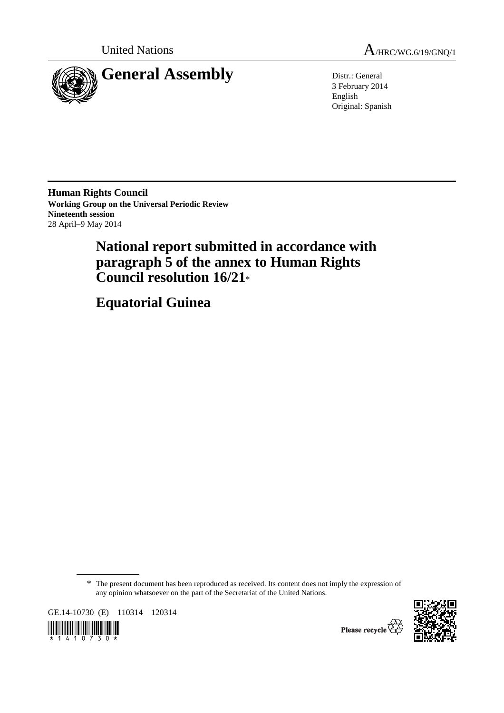

United Nations  $A_{HRC/WG.6/19/GNO/1}$ 

3 February 2014 English Original: Spanish

**Human Rights Council Working Group on the Universal Periodic Review Nineteenth session**  28 April–9 May 2014

# **National report submitted in accordance with paragraph 5 of the annex to Human Rights Council resolution 16/21**\*

 **Equatorial Guinea** 

\* The present document has been reproduced as received. Its content does not imply the expression of any opinion whatsoever on the part of the Secretariat of the United Nations.

GE.14-10730 (E) 110314 120314





Please recycle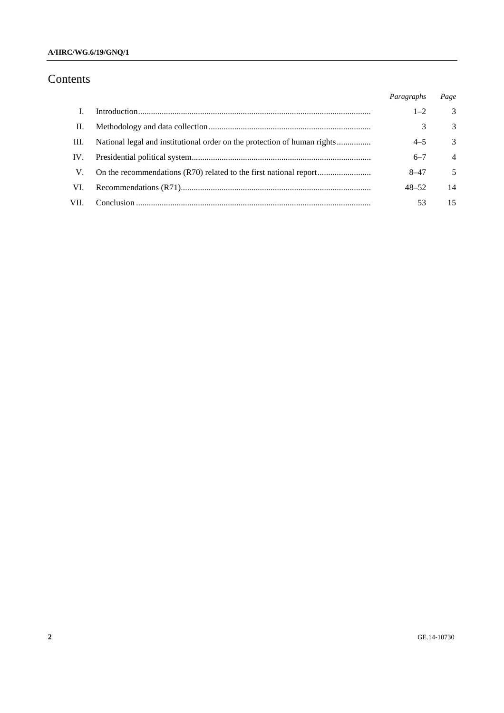### **A/HRC/WG.6/19/GNQ/1**

# Contents

|      | Paragraphs | Page           |
|------|------------|----------------|
|      | $1 - 2$    | $\mathcal{F}$  |
| П.   | 3          | 3              |
| III. | $4 - 5$    | 3              |
| IV.  | $6 - 7$    | $\overline{4}$ |
| V.   | $8 - 47$   | 5              |
| VI.  | $48 - 52$  | 14             |
| VII. | 53         | 15             |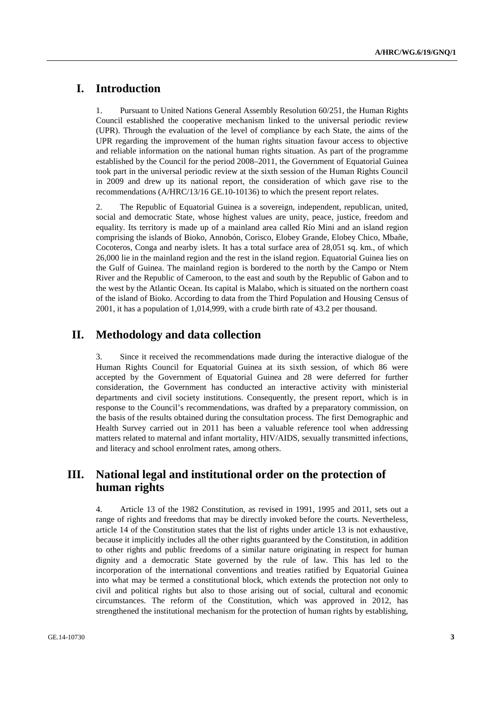# **I. Introduction**

1. Pursuant to United Nations General Assembly Resolution 60/251, the Human Rights Council established the cooperative mechanism linked to the universal periodic review (UPR). Through the evaluation of the level of compliance by each State, the aims of the UPR regarding the improvement of the human rights situation favour access to objective and reliable information on the national human rights situation. As part of the programme established by the Council for the period 2008–2011, the Government of Equatorial Guinea took part in the universal periodic review at the sixth session of the Human Rights Council in 2009 and drew up its national report, the consideration of which gave rise to the recommendations (A/HRC/13/16 GE.10-10136) to which the present report relates.

2. The Republic of Equatorial Guinea is a sovereign, independent, republican, united, social and democratic State, whose highest values are unity, peace, justice, freedom and equality. Its territory is made up of a mainland area called Río Mini and an island region comprising the islands of Bioko, Annobón, Corisco, Elobey Grande, Elobey Chico, Mbañe, Cocoteros, Conga and nearby islets. It has a total surface area of 28,051 sq. km., of which 26,000 lie in the mainland region and the rest in the island region. Equatorial Guinea lies on the Gulf of Guinea. The mainland region is bordered to the north by the Campo or Ntem River and the Republic of Cameroon, to the east and south by the Republic of Gabon and to the west by the Atlantic Ocean. Its capital is Malabo, which is situated on the northern coast of the island of Bioko. According to data from the Third Population and Housing Census of 2001, it has a population of 1,014,999, with a crude birth rate of 43.2 per thousand.

# **II. Methodology and data collection**

3. Since it received the recommendations made during the interactive dialogue of the Human Rights Council for Equatorial Guinea at its sixth session, of which 86 were accepted by the Government of Equatorial Guinea and 28 were deferred for further consideration, the Government has conducted an interactive activity with ministerial departments and civil society institutions. Consequently, the present report, which is in response to the Council's recommendations, was drafted by a preparatory commission, on the basis of the results obtained during the consultation process. The first Demographic and Health Survey carried out in 2011 has been a valuable reference tool when addressing matters related to maternal and infant mortality, HIV/AIDS, sexually transmitted infections, and literacy and school enrolment rates, among others.

# **III. National legal and institutional order on the protection of human rights**

4. Article 13 of the 1982 Constitution, as revised in 1991, 1995 and 2011, sets out a range of rights and freedoms that may be directly invoked before the courts. Nevertheless, article 14 of the Constitution states that the list of rights under article 13 is not exhaustive, because it implicitly includes all the other rights guaranteed by the Constitution, in addition to other rights and public freedoms of a similar nature originating in respect for human dignity and a democratic State governed by the rule of law. This has led to the incorporation of the international conventions and treaties ratified by Equatorial Guinea into what may be termed a constitutional block, which extends the protection not only to civil and political rights but also to those arising out of social, cultural and economic circumstances. The reform of the Constitution, which was approved in 2012, has strengthened the institutional mechanism for the protection of human rights by establishing,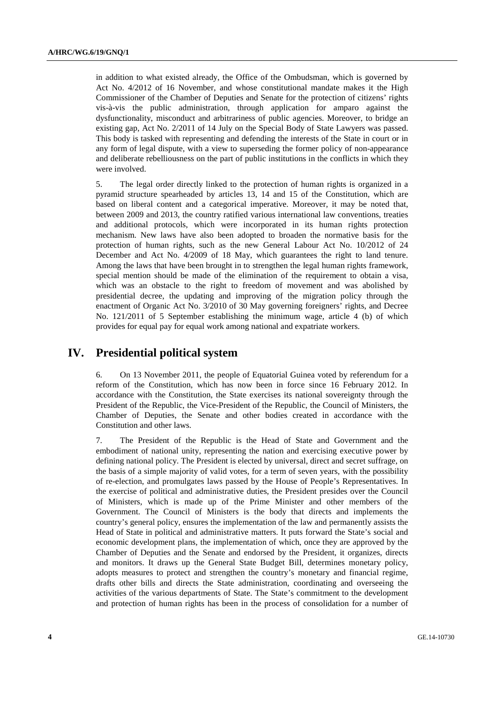in addition to what existed already, the Office of the Ombudsman, which is governed by Act No. 4/2012 of 16 November, and whose constitutional mandate makes it the High Commissioner of the Chamber of Deputies and Senate for the protection of citizens' rights vis-à-vis the public administration, through application for amparo against the dysfunctionality, misconduct and arbitrariness of public agencies. Moreover, to bridge an existing gap, Act No. 2/2011 of 14 July on the Special Body of State Lawyers was passed. This body is tasked with representing and defending the interests of the State in court or in any form of legal dispute, with a view to superseding the former policy of non-appearance and deliberate rebelliousness on the part of public institutions in the conflicts in which they were involved.

5. The legal order directly linked to the protection of human rights is organized in a pyramid structure spearheaded by articles 13, 14 and 15 of the Constitution, which are based on liberal content and a categorical imperative. Moreover, it may be noted that, between 2009 and 2013, the country ratified various international law conventions, treaties and additional protocols, which were incorporated in its human rights protection mechanism. New laws have also been adopted to broaden the normative basis for the protection of human rights, such as the new General Labour Act No. 10/2012 of 24 December and Act No. 4/2009 of 18 May, which guarantees the right to land tenure. Among the laws that have been brought in to strengthen the legal human rights framework, special mention should be made of the elimination of the requirement to obtain a visa, which was an obstacle to the right to freedom of movement and was abolished by presidential decree, the updating and improving of the migration policy through the enactment of Organic Act No. 3/2010 of 30 May governing foreigners' rights, and Decree No. 121/2011 of 5 September establishing the minimum wage, article 4 (b) of which provides for equal pay for equal work among national and expatriate workers.

# **IV. Presidential political system**

6. On 13 November 2011, the people of Equatorial Guinea voted by referendum for a reform of the Constitution, which has now been in force since 16 February 2012. In accordance with the Constitution, the State exercises its national sovereignty through the President of the Republic, the Vice-President of the Republic, the Council of Ministers, the Chamber of Deputies, the Senate and other bodies created in accordance with the Constitution and other laws.

7. The President of the Republic is the Head of State and Government and the embodiment of national unity, representing the nation and exercising executive power by defining national policy. The President is elected by universal, direct and secret suffrage, on the basis of a simple majority of valid votes, for a term of seven years, with the possibility of re-election, and promulgates laws passed by the House of People's Representatives. In the exercise of political and administrative duties, the President presides over the Council of Ministers, which is made up of the Prime Minister and other members of the Government. The Council of Ministers is the body that directs and implements the country's general policy, ensures the implementation of the law and permanently assists the Head of State in political and administrative matters. It puts forward the State's social and economic development plans, the implementation of which, once they are approved by the Chamber of Deputies and the Senate and endorsed by the President, it organizes, directs and monitors. It draws up the General State Budget Bill, determines monetary policy, adopts measures to protect and strengthen the country's monetary and financial regime, drafts other bills and directs the State administration, coordinating and overseeing the activities of the various departments of State. The State's commitment to the development and protection of human rights has been in the process of consolidation for a number of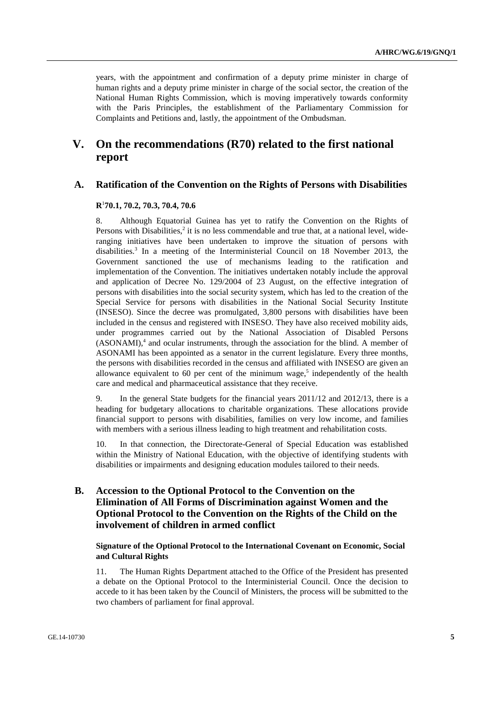years, with the appointment and confirmation of a deputy prime minister in charge of human rights and a deputy prime minister in charge of the social sector, the creation of the National Human Rights Commission, which is moving imperatively towards conformity with the Paris Principles, the establishment of the Parliamentary Commission for Complaints and Petitions and, lastly, the appointment of the Ombudsman.

# **V. On the recommendations (R70) related to the first national report**

### **A. Ratification of the Convention on the Rights of Persons with Disabilities**

### **R**<sup>1</sup> **70.1, 70.2, 70.3, 70.4, 70.6**

8. Although Equatorial Guinea has yet to ratify the Convention on the Rights of Persons with Disabilities, $2$  it is no less commendable and true that, at a national level, wideranging initiatives have been undertaken to improve the situation of persons with disabilities.<sup>3</sup> In a meeting of the Interministerial Council on 18 November 2013, the Government sanctioned the use of mechanisms leading to the ratification and implementation of the Convention. The initiatives undertaken notably include the approval and application of Decree No. 129/2004 of 23 August, on the effective integration of persons with disabilities into the social security system, which has led to the creation of the Special Service for persons with disabilities in the National Social Security Institute (INSESO). Since the decree was promulgated, 3,800 persons with disabilities have been included in the census and registered with INSESO. They have also received mobility aids, under programmes carried out by the National Association of Disabled Persons  $(ASONAMI)$ ,<sup>4</sup> and ocular instruments, through the association for the blind. A member of ASONAMI has been appointed as a senator in the current legislature. Every three months, the persons with disabilities recorded in the census and affiliated with INSESO are given an allowance equivalent to 60 per cent of the minimum wage,<sup>5</sup> independently of the health care and medical and pharmaceutical assistance that they receive.

9. In the general State budgets for the financial years 2011/12 and 2012/13, there is a heading for budgetary allocations to charitable organizations. These allocations provide financial support to persons with disabilities, families on very low income, and families with members with a serious illness leading to high treatment and rehabilitation costs.

10. In that connection, the Directorate-General of Special Education was established within the Ministry of National Education, with the objective of identifying students with disabilities or impairments and designing education modules tailored to their needs.

# **B. Accession to the Optional Protocol to the Convention on the Elimination of All Forms of Discrimination against Women and the Optional Protocol to the Convention on the Rights of the Child on the involvement of children in armed conflict**

 **Signature of the Optional Protocol to the International Covenant on Economic, Social and Cultural Rights** 

11. The Human Rights Department attached to the Office of the President has presented a debate on the Optional Protocol to the Interministerial Council. Once the decision to accede to it has been taken by the Council of Ministers, the process will be submitted to the two chambers of parliament for final approval.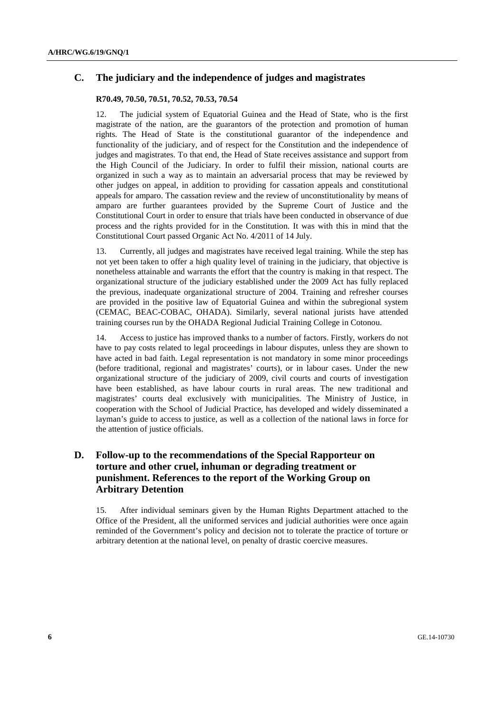# **C. The judiciary and the independence of judges and magistrates**

### **R70.49, 70.50, 70.51, 70.52, 70.53, 70.54**

12. The judicial system of Equatorial Guinea and the Head of State, who is the first magistrate of the nation, are the guarantors of the protection and promotion of human rights. The Head of State is the constitutional guarantor of the independence and functionality of the judiciary, and of respect for the Constitution and the independence of judges and magistrates. To that end, the Head of State receives assistance and support from the High Council of the Judiciary. In order to fulfil their mission, national courts are organized in such a way as to maintain an adversarial process that may be reviewed by other judges on appeal, in addition to providing for cassation appeals and constitutional appeals for amparo. The cassation review and the review of unconstitutionality by means of amparo are further guarantees provided by the Supreme Court of Justice and the Constitutional Court in order to ensure that trials have been conducted in observance of due process and the rights provided for in the Constitution. It was with this in mind that the Constitutional Court passed Organic Act No. 4/2011 of 14 July.

13. Currently, all judges and magistrates have received legal training. While the step has not yet been taken to offer a high quality level of training in the judiciary, that objective is nonetheless attainable and warrants the effort that the country is making in that respect. The organizational structure of the judiciary established under the 2009 Act has fully replaced the previous, inadequate organizational structure of 2004. Training and refresher courses are provided in the positive law of Equatorial Guinea and within the subregional system (CEMAC, BEAC-COBAC, OHADA). Similarly, several national jurists have attended training courses run by the OHADA Regional Judicial Training College in Cotonou.

14. Access to justice has improved thanks to a number of factors. Firstly, workers do not have to pay costs related to legal proceedings in labour disputes, unless they are shown to have acted in bad faith. Legal representation is not mandatory in some minor proceedings (before traditional, regional and magistrates' courts), or in labour cases. Under the new organizational structure of the judiciary of 2009, civil courts and courts of investigation have been established, as have labour courts in rural areas. The new traditional and magistrates' courts deal exclusively with municipalities. The Ministry of Justice, in cooperation with the School of Judicial Practice, has developed and widely disseminated a layman's guide to access to justice, as well as a collection of the national laws in force for the attention of justice officials.

# **D. Follow-up to the recommendations of the Special Rapporteur on torture and other cruel, inhuman or degrading treatment or punishment. References to the report of the Working Group on Arbitrary Detention**

15. After individual seminars given by the Human Rights Department attached to the Office of the President, all the uniformed services and judicial authorities were once again reminded of the Government's policy and decision not to tolerate the practice of torture or arbitrary detention at the national level, on penalty of drastic coercive measures.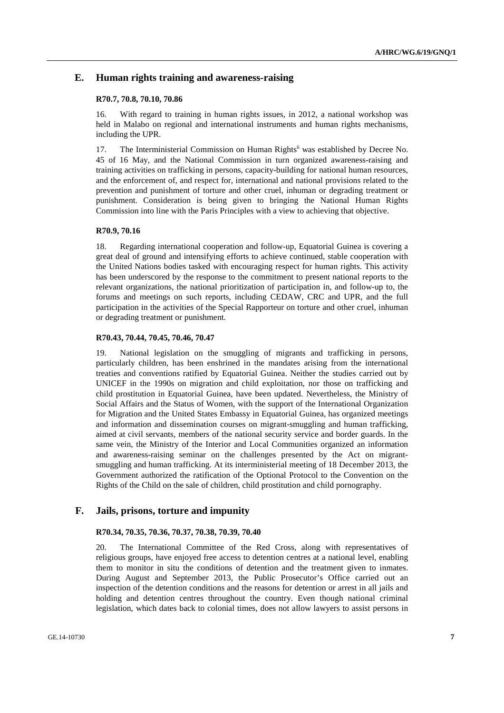### **E. Human rights training and awareness-raising**

### **R70.7, 70.8, 70.10, 70.86**

16. With regard to training in human rights issues, in 2012, a national workshop was held in Malabo on regional and international instruments and human rights mechanisms, including the UPR.

17. The Interministerial Commission on Human Rights<sup>6</sup> was established by Decree No. 45 of 16 May, and the National Commission in turn organized awareness-raising and training activities on trafficking in persons, capacity-building for national human resources, and the enforcement of, and respect for, international and national provisions related to the prevention and punishment of torture and other cruel, inhuman or degrading treatment or punishment. Consideration is being given to bringing the National Human Rights Commission into line with the Paris Principles with a view to achieving that objective.

### **R70.9, 70.16**

18. Regarding international cooperation and follow-up, Equatorial Guinea is covering a great deal of ground and intensifying efforts to achieve continued, stable cooperation with the United Nations bodies tasked with encouraging respect for human rights. This activity has been underscored by the response to the commitment to present national reports to the relevant organizations, the national prioritization of participation in, and follow-up to, the forums and meetings on such reports, including CEDAW, CRC and UPR, and the full participation in the activities of the Special Rapporteur on torture and other cruel, inhuman or degrading treatment or punishment.

### **R70.43, 70.44, 70.45, 70.46, 70.47**

19. National legislation on the smuggling of migrants and trafficking in persons, particularly children, has been enshrined in the mandates arising from the international treaties and conventions ratified by Equatorial Guinea. Neither the studies carried out by UNICEF in the 1990s on migration and child exploitation, nor those on trafficking and child prostitution in Equatorial Guinea, have been updated. Nevertheless, the Ministry of Social Affairs and the Status of Women, with the support of the International Organization for Migration and the United States Embassy in Equatorial Guinea, has organized meetings and information and dissemination courses on migrant-smuggling and human trafficking, aimed at civil servants, members of the national security service and border guards. In the same vein, the Ministry of the Interior and Local Communities organized an information and awareness-raising seminar on the challenges presented by the Act on migrantsmuggling and human trafficking. At its interministerial meeting of 18 December 2013, the Government authorized the ratification of the Optional Protocol to the Convention on the Rights of the Child on the sale of children, child prostitution and child pornography.

### **F. Jails, prisons, torture and impunity**

### **R70.34, 70.35, 70.36, 70.37, 70.38, 70.39, 70.40**

20. The International Committee of the Red Cross, along with representatives of religious groups, have enjoyed free access to detention centres at a national level, enabling them to monitor in situ the conditions of detention and the treatment given to inmates. During August and September 2013, the Public Prosecutor's Office carried out an inspection of the detention conditions and the reasons for detention or arrest in all jails and holding and detention centres throughout the country. Even though national criminal legislation, which dates back to colonial times, does not allow lawyers to assist persons in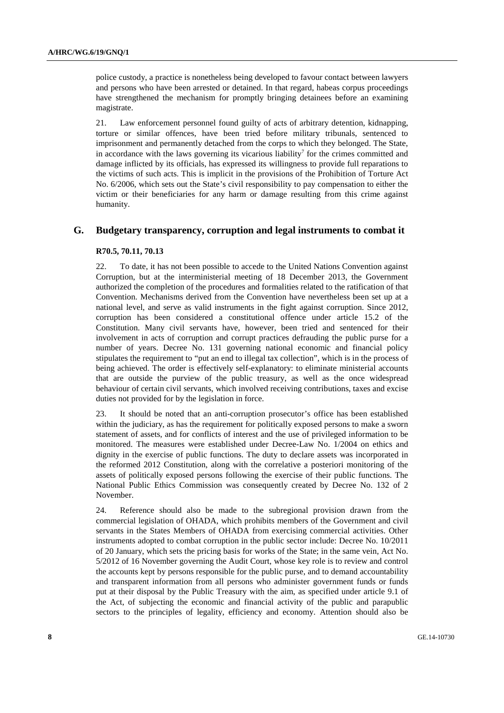police custody, a practice is nonetheless being developed to favour contact between lawyers and persons who have been arrested or detained. In that regard, habeas corpus proceedings have strengthened the mechanism for promptly bringing detainees before an examining magistrate.

21. Law enforcement personnel found guilty of acts of arbitrary detention, kidnapping, torture or similar offences, have been tried before military tribunals, sentenced to imprisonment and permanently detached from the corps to which they belonged. The State, in accordance with the laws governing its vicarious liability<sup>7</sup> for the crimes committed and damage inflicted by its officials, has expressed its willingness to provide full reparations to the victims of such acts. This is implicit in the provisions of the Prohibition of Torture Act No. 6/2006, which sets out the State's civil responsibility to pay compensation to either the victim or their beneficiaries for any harm or damage resulting from this crime against humanity.

### **G. Budgetary transparency, corruption and legal instruments to combat it**

#### **R70.5, 70.11, 70.13**

22. To date, it has not been possible to accede to the United Nations Convention against Corruption, but at the interministerial meeting of 18 December 2013, the Government authorized the completion of the procedures and formalities related to the ratification of that Convention. Mechanisms derived from the Convention have nevertheless been set up at a national level, and serve as valid instruments in the fight against corruption. Since 2012, corruption has been considered a constitutional offence under article 15.2 of the Constitution. Many civil servants have, however, been tried and sentenced for their involvement in acts of corruption and corrupt practices defrauding the public purse for a number of years. Decree No. 131 governing national economic and financial policy stipulates the requirement to "put an end to illegal tax collection", which is in the process of being achieved. The order is effectively self-explanatory: to eliminate ministerial accounts that are outside the purview of the public treasury, as well as the once widespread behaviour of certain civil servants, which involved receiving contributions, taxes and excise duties not provided for by the legislation in force.

23. It should be noted that an anti-corruption prosecutor's office has been established within the judiciary, as has the requirement for politically exposed persons to make a sworn statement of assets, and for conflicts of interest and the use of privileged information to be monitored. The measures were established under Decree-Law No. 1/2004 on ethics and dignity in the exercise of public functions. The duty to declare assets was incorporated in the reformed 2012 Constitution, along with the correlative a posteriori monitoring of the assets of politically exposed persons following the exercise of their public functions. The National Public Ethics Commission was consequently created by Decree No. 132 of 2 November.

24. Reference should also be made to the subregional provision drawn from the commercial legislation of OHADA, which prohibits members of the Government and civil servants in the States Members of OHADA from exercising commercial activities. Other instruments adopted to combat corruption in the public sector include: Decree No. 10/2011 of 20 January, which sets the pricing basis for works of the State; in the same vein, Act No. 5/2012 of 16 November governing the Audit Court, whose key role is to review and control the accounts kept by persons responsible for the public purse, and to demand accountability and transparent information from all persons who administer government funds or funds put at their disposal by the Public Treasury with the aim, as specified under article 9.1 of the Act, of subjecting the economic and financial activity of the public and parapublic sectors to the principles of legality, efficiency and economy. Attention should also be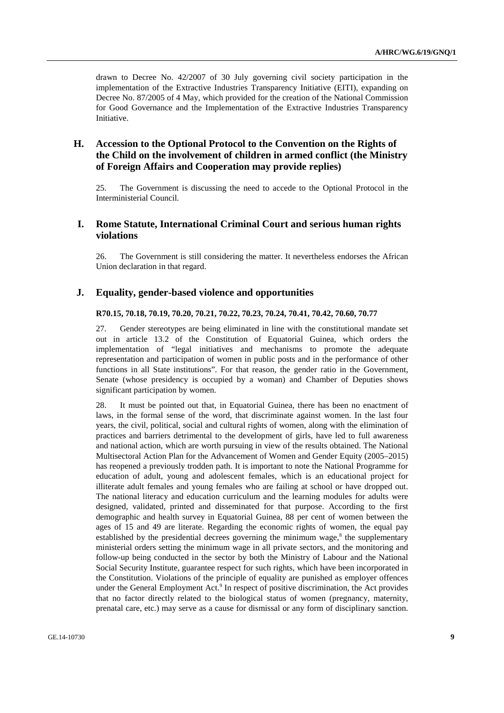drawn to Decree No. 42/2007 of 30 July governing civil society participation in the implementation of the Extractive Industries Transparency Initiative (EITI), expanding on Decree No. 87/2005 of 4 May, which provided for the creation of the National Commission for Good Governance and the Implementation of the Extractive Industries Transparency **Initiative** 

# **H. Accession to the Optional Protocol to the Convention on the Rights of the Child on the involvement of children in armed conflict (the Ministry of Foreign Affairs and Cooperation may provide replies)**

25. The Government is discussing the need to accede to the Optional Protocol in the Interministerial Council.

### **I. Rome Statute, International Criminal Court and serious human rights violations**

26. The Government is still considering the matter. It nevertheless endorses the African Union declaration in that regard.

### **J. Equality, gender-based violence and opportunities**

### **R70.15, 70.18, 70.19, 70.20, 70.21, 70.22, 70.23, 70.24, 70.41, 70.42, 70.60, 70.77**

27. Gender stereotypes are being eliminated in line with the constitutional mandate set out in article 13.2 of the Constitution of Equatorial Guinea, which orders the implementation of "legal initiatives and mechanisms to promote the adequate representation and participation of women in public posts and in the performance of other functions in all State institutions". For that reason, the gender ratio in the Government, Senate (whose presidency is occupied by a woman) and Chamber of Deputies shows significant participation by women.

28. It must be pointed out that, in Equatorial Guinea, there has been no enactment of laws, in the formal sense of the word, that discriminate against women. In the last four years, the civil, political, social and cultural rights of women, along with the elimination of practices and barriers detrimental to the development of girls, have led to full awareness and national action, which are worth pursuing in view of the results obtained. The National Multisectoral Action Plan for the Advancement of Women and Gender Equity (2005–2015) has reopened a previously trodden path. It is important to note the National Programme for education of adult, young and adolescent females, which is an educational project for illiterate adult females and young females who are failing at school or have dropped out. The national literacy and education curriculum and the learning modules for adults were designed, validated, printed and disseminated for that purpose. According to the first demographic and health survey in Equatorial Guinea, 88 per cent of women between the ages of 15 and 49 are literate. Regarding the economic rights of women, the equal pay established by the presidential decrees governing the minimum wage, $\delta$  the supplementary ministerial orders setting the minimum wage in all private sectors, and the monitoring and follow-up being conducted in the sector by both the Ministry of Labour and the National Social Security Institute, guarantee respect for such rights, which have been incorporated in the Constitution. Violations of the principle of equality are punished as employer offences under the General Employment Act.<sup>9</sup> In respect of positive discrimination, the Act provides that no factor directly related to the biological status of women (pregnancy, maternity, prenatal care, etc.) may serve as a cause for dismissal or any form of disciplinary sanction.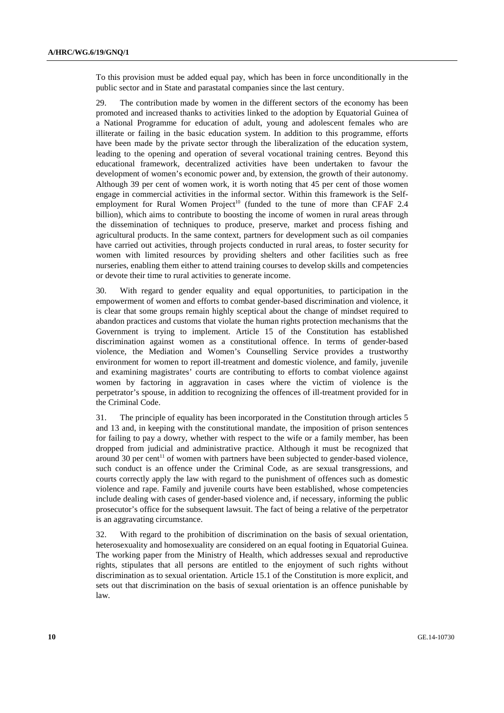To this provision must be added equal pay, which has been in force unconditionally in the public sector and in State and parastatal companies since the last century.

29. The contribution made by women in the different sectors of the economy has been promoted and increased thanks to activities linked to the adoption by Equatorial Guinea of a National Programme for education of adult, young and adolescent females who are illiterate or failing in the basic education system. In addition to this programme, efforts have been made by the private sector through the liberalization of the education system, leading to the opening and operation of several vocational training centres. Beyond this educational framework, decentralized activities have been undertaken to favour the development of women's economic power and, by extension, the growth of their autonomy. Although 39 per cent of women work, it is worth noting that 45 per cent of those women engage in commercial activities in the informal sector. Within this framework is the Selfemployment for Rural Women Project<sup>10</sup> (funded to the tune of more than CFAF 2.4 billion), which aims to contribute to boosting the income of women in rural areas through the dissemination of techniques to produce, preserve, market and process fishing and agricultural products. In the same context, partners for development such as oil companies have carried out activities, through projects conducted in rural areas, to foster security for women with limited resources by providing shelters and other facilities such as free nurseries, enabling them either to attend training courses to develop skills and competencies or devote their time to rural activities to generate income.

30. With regard to gender equality and equal opportunities, to participation in the empowerment of women and efforts to combat gender-based discrimination and violence, it is clear that some groups remain highly sceptical about the change of mindset required to abandon practices and customs that violate the human rights protection mechanisms that the Government is trying to implement. Article 15 of the Constitution has established discrimination against women as a constitutional offence. In terms of gender-based violence, the Mediation and Women's Counselling Service provides a trustworthy environment for women to report ill-treatment and domestic violence, and family, juvenile and examining magistrates' courts are contributing to efforts to combat violence against women by factoring in aggravation in cases where the victim of violence is the perpetrator's spouse, in addition to recognizing the offences of ill-treatment provided for in the Criminal Code.

31. The principle of equality has been incorporated in the Constitution through articles 5 and 13 and, in keeping with the constitutional mandate, the imposition of prison sentences for failing to pay a dowry, whether with respect to the wife or a family member, has been dropped from judicial and administrative practice. Although it must be recognized that around 30 per cent<sup>11</sup> of women with partners have been subjected to gender-based violence, such conduct is an offence under the Criminal Code, as are sexual transgressions, and courts correctly apply the law with regard to the punishment of offences such as domestic violence and rape. Family and juvenile courts have been established, whose competencies include dealing with cases of gender-based violence and, if necessary, informing the public prosecutor's office for the subsequent lawsuit. The fact of being a relative of the perpetrator is an aggravating circumstance.

32. With regard to the prohibition of discrimination on the basis of sexual orientation, heterosexuality and homosexuality are considered on an equal footing in Equatorial Guinea. The working paper from the Ministry of Health, which addresses sexual and reproductive rights, stipulates that all persons are entitled to the enjoyment of such rights without discrimination as to sexual orientation. Article 15.1 of the Constitution is more explicit, and sets out that discrimination on the basis of sexual orientation is an offence punishable by law.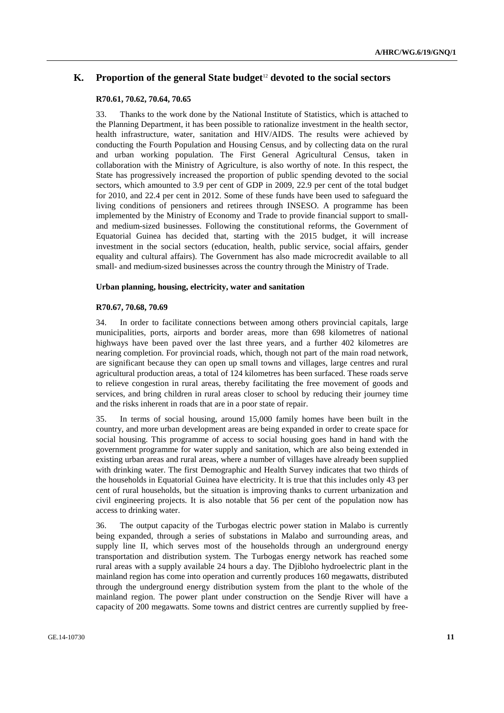### **K. Proportion of the general State budget**12 **devoted to the social sectors**

### **R70.61, 70.62, 70.64, 70.65**

33. Thanks to the work done by the National Institute of Statistics, which is attached to the Planning Department, it has been possible to rationalize investment in the health sector, health infrastructure, water, sanitation and HIV/AIDS. The results were achieved by conducting the Fourth Population and Housing Census, and by collecting data on the rural and urban working population. The First General Agricultural Census, taken in collaboration with the Ministry of Agriculture, is also worthy of note. In this respect, the State has progressively increased the proportion of public spending devoted to the social sectors, which amounted to 3.9 per cent of GDP in 2009, 22.9 per cent of the total budget for 2010, and 22.4 per cent in 2012. Some of these funds have been used to safeguard the living conditions of pensioners and retirees through INSESO. A programme has been implemented by the Ministry of Economy and Trade to provide financial support to smalland medium-sized businesses. Following the constitutional reforms, the Government of Equatorial Guinea has decided that, starting with the 2015 budget, it will increase investment in the social sectors (education, health, public service, social affairs, gender equality and cultural affairs). The Government has also made microcredit available to all small- and medium-sized businesses across the country through the Ministry of Trade.

### **Urban planning, housing, electricity, water and sanitation**

#### **R70.67, 70.68, 70.69**

34. In order to facilitate connections between among others provincial capitals, large municipalities, ports, airports and border areas, more than 698 kilometres of national highways have been paved over the last three years, and a further 402 kilometres are nearing completion. For provincial roads, which, though not part of the main road network, are significant because they can open up small towns and villages, large centres and rural agricultural production areas, a total of 124 kilometres has been surfaced. These roads serve to relieve congestion in rural areas, thereby facilitating the free movement of goods and services, and bring children in rural areas closer to school by reducing their journey time and the risks inherent in roads that are in a poor state of repair.

35. In terms of social housing, around 15,000 family homes have been built in the country, and more urban development areas are being expanded in order to create space for social housing. This programme of access to social housing goes hand in hand with the government programme for water supply and sanitation, which are also being extended in existing urban areas and rural areas, where a number of villages have already been supplied with drinking water. The first Demographic and Health Survey indicates that two thirds of the households in Equatorial Guinea have electricity. It is true that this includes only 43 per cent of rural households, but the situation is improving thanks to current urbanization and civil engineering projects. It is also notable that 56 per cent of the population now has access to drinking water.

36. The output capacity of the Turbogas electric power station in Malabo is currently being expanded, through a series of substations in Malabo and surrounding areas, and supply line II, which serves most of the households through an underground energy transportation and distribution system. The Turbogas energy network has reached some rural areas with a supply available 24 hours a day. The Djibloho hydroelectric plant in the mainland region has come into operation and currently produces 160 megawatts, distributed through the underground energy distribution system from the plant to the whole of the mainland region. The power plant under construction on the Sendje River will have a capacity of 200 megawatts. Some towns and district centres are currently supplied by free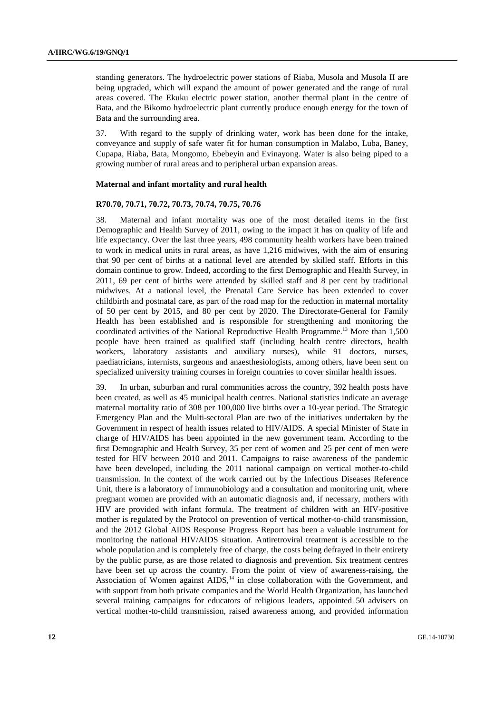standing generators. The hydroelectric power stations of Riaba, Musola and Musola II are being upgraded, which will expand the amount of power generated and the range of rural areas covered. The Ekuku electric power station, another thermal plant in the centre of Bata, and the Bikomo hydroelectric plant currently produce enough energy for the town of Bata and the surrounding area.

37. With regard to the supply of drinking water, work has been done for the intake, conveyance and supply of safe water fit for human consumption in Malabo, Luba, Baney, Cupapa, Riaba, Bata, Mongomo, Ebebeyin and Evinayong. Water is also being piped to a growing number of rural areas and to peripheral urban expansion areas.

### **Maternal and infant mortality and rural health**

#### **R70.70, 70.71, 70.72, 70.73, 70.74, 70.75, 70.76**

38. Maternal and infant mortality was one of the most detailed items in the first Demographic and Health Survey of 2011, owing to the impact it has on quality of life and life expectancy. Over the last three years, 498 community health workers have been trained to work in medical units in rural areas, as have 1,216 midwives, with the aim of ensuring that 90 per cent of births at a national level are attended by skilled staff. Efforts in this domain continue to grow. Indeed, according to the first Demographic and Health Survey, in 2011, 69 per cent of births were attended by skilled staff and 8 per cent by traditional midwives. At a national level, the Prenatal Care Service has been extended to cover childbirth and postnatal care, as part of the road map for the reduction in maternal mortality of 50 per cent by 2015, and 80 per cent by 2020. The Directorate-General for Family Health has been established and is responsible for strengthening and monitoring the coordinated activities of the National Reproductive Health Programme.13 More than 1,500 people have been trained as qualified staff (including health centre directors, health workers, laboratory assistants and auxiliary nurses), while 91 doctors, nurses, paediatricians, internists, surgeons and anaesthesiologists, among others, have been sent on specialized university training courses in foreign countries to cover similar health issues.

39. In urban, suburban and rural communities across the country, 392 health posts have been created, as well as 45 municipal health centres. National statistics indicate an average maternal mortality ratio of 308 per 100,000 live births over a 10-year period. The Strategic Emergency Plan and the Multi-sectoral Plan are two of the initiatives undertaken by the Government in respect of health issues related to HIV/AIDS. A special Minister of State in charge of HIV/AIDS has been appointed in the new government team. According to the first Demographic and Health Survey, 35 per cent of women and 25 per cent of men were tested for HIV between 2010 and 2011. Campaigns to raise awareness of the pandemic have been developed, including the 2011 national campaign on vertical mother-to-child transmission. In the context of the work carried out by the Infectious Diseases Reference Unit, there is a laboratory of immunobiology and a consultation and monitoring unit, where pregnant women are provided with an automatic diagnosis and, if necessary, mothers with HIV are provided with infant formula. The treatment of children with an HIV-positive mother is regulated by the Protocol on prevention of vertical mother-to-child transmission, and the 2012 Global AIDS Response Progress Report has been a valuable instrument for monitoring the national HIV/AIDS situation. Antiretroviral treatment is accessible to the whole population and is completely free of charge, the costs being defrayed in their entirety by the public purse, as are those related to diagnosis and prevention. Six treatment centres have been set up across the country. From the point of view of awareness-raising, the Association of Women against AIDS,<sup>14</sup> in close collaboration with the Government, and with support from both private companies and the World Health Organization, has launched several training campaigns for educators of religious leaders, appointed 50 advisers on vertical mother-to-child transmission, raised awareness among, and provided information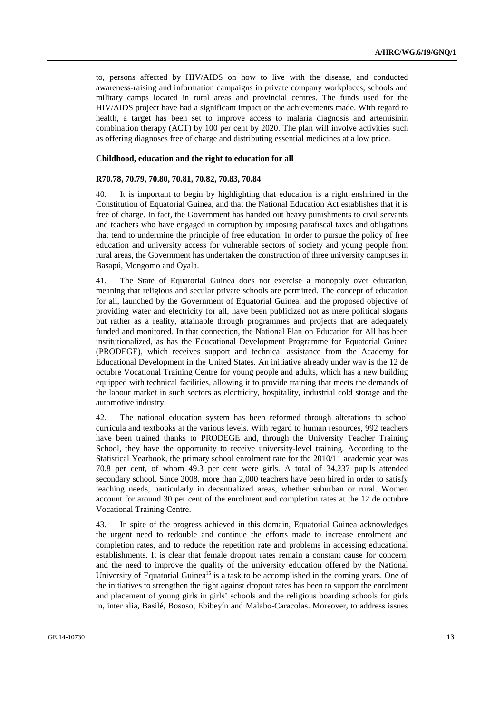to, persons affected by HIV/AIDS on how to live with the disease, and conducted awareness-raising and information campaigns in private company workplaces, schools and military camps located in rural areas and provincial centres. The funds used for the HIV/AIDS project have had a significant impact on the achievements made. With regard to health, a target has been set to improve access to malaria diagnosis and artemisinin combination therapy (ACT) by 100 per cent by 2020. The plan will involve activities such as offering diagnoses free of charge and distributing essential medicines at a low price.

#### **Childhood, education and the right to education for all**

#### **R70.78, 70.79, 70.80, 70.81, 70.82, 70.83, 70.84**

40. It is important to begin by highlighting that education is a right enshrined in the Constitution of Equatorial Guinea, and that the National Education Act establishes that it is free of charge. In fact, the Government has handed out heavy punishments to civil servants and teachers who have engaged in corruption by imposing parafiscal taxes and obligations that tend to undermine the principle of free education. In order to pursue the policy of free education and university access for vulnerable sectors of society and young people from rural areas, the Government has undertaken the construction of three university campuses in Basapú, Mongomo and Oyala.

41. The State of Equatorial Guinea does not exercise a monopoly over education, meaning that religious and secular private schools are permitted. The concept of education for all, launched by the Government of Equatorial Guinea, and the proposed objective of providing water and electricity for all, have been publicized not as mere political slogans but rather as a reality, attainable through programmes and projects that are adequately funded and monitored. In that connection, the National Plan on Education for All has been institutionalized, as has the Educational Development Programme for Equatorial Guinea (PRODEGE), which receives support and technical assistance from the Academy for Educational Development in the United States. An initiative already under way is the 12 de octubre Vocational Training Centre for young people and adults, which has a new building equipped with technical facilities, allowing it to provide training that meets the demands of the labour market in such sectors as electricity, hospitality, industrial cold storage and the automotive industry.

42. The national education system has been reformed through alterations to school curricula and textbooks at the various levels. With regard to human resources, 992 teachers have been trained thanks to PRODEGE and, through the University Teacher Training School, they have the opportunity to receive university-level training. According to the Statistical Yearbook, the primary school enrolment rate for the 2010/11 academic year was 70.8 per cent, of whom 49.3 per cent were girls. A total of 34,237 pupils attended secondary school. Since 2008, more than 2,000 teachers have been hired in order to satisfy teaching needs, particularly in decentralized areas, whether suburban or rural. Women account for around 30 per cent of the enrolment and completion rates at the 12 de octubre Vocational Training Centre.

43. In spite of the progress achieved in this domain, Equatorial Guinea acknowledges the urgent need to redouble and continue the efforts made to increase enrolment and completion rates, and to reduce the repetition rate and problems in accessing educational establishments. It is clear that female dropout rates remain a constant cause for concern, and the need to improve the quality of the university education offered by the National University of Equatorial Guinea<sup>15</sup> is a task to be accomplished in the coming years. One of the initiatives to strengthen the fight against dropout rates has been to support the enrolment and placement of young girls in girls' schools and the religious boarding schools for girls in, inter alia, Basilé, Bososo, Ebibeyín and Malabo-Caracolas. Moreover, to address issues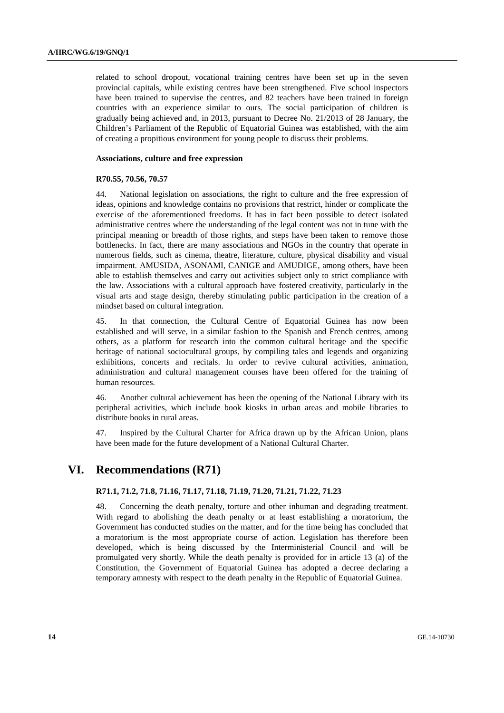related to school dropout, vocational training centres have been set up in the seven provincial capitals, while existing centres have been strengthened. Five school inspectors have been trained to supervise the centres, and 82 teachers have been trained in foreign countries with an experience similar to ours. The social participation of children is gradually being achieved and, in 2013, pursuant to Decree No. 21/2013 of 28 January, the Children's Parliament of the Republic of Equatorial Guinea was established, with the aim of creating a propitious environment for young people to discuss their problems.

#### **Associations, culture and free expression**

#### **R70.55, 70.56, 70.57**

44. National legislation on associations, the right to culture and the free expression of ideas, opinions and knowledge contains no provisions that restrict, hinder or complicate the exercise of the aforementioned freedoms. It has in fact been possible to detect isolated administrative centres where the understanding of the legal content was not in tune with the principal meaning or breadth of those rights, and steps have been taken to remove those bottlenecks. In fact, there are many associations and NGOs in the country that operate in numerous fields, such as cinema, theatre, literature, culture, physical disability and visual impairment. AMUSIDA, ASONAMI, CANIGE and AMUDIGE, among others, have been able to establish themselves and carry out activities subject only to strict compliance with the law. Associations with a cultural approach have fostered creativity, particularly in the visual arts and stage design, thereby stimulating public participation in the creation of a mindset based on cultural integration.

45. In that connection, the Cultural Centre of Equatorial Guinea has now been established and will serve, in a similar fashion to the Spanish and French centres, among others, as a platform for research into the common cultural heritage and the specific heritage of national sociocultural groups, by compiling tales and legends and organizing exhibitions, concerts and recitals. In order to revive cultural activities, animation, administration and cultural management courses have been offered for the training of human resources.

46. Another cultural achievement has been the opening of the National Library with its peripheral activities, which include book kiosks in urban areas and mobile libraries to distribute books in rural areas.

47. Inspired by the Cultural Charter for Africa drawn up by the African Union, plans have been made for the future development of a National Cultural Charter.

# **VI. Recommendations (R71)**

### **R71.1, 71.2, 71.8, 71.16, 71.17, 71.18, 71.19, 71.20, 71.21, 71.22, 71.23**

48. Concerning the death penalty, torture and other inhuman and degrading treatment. With regard to abolishing the death penalty or at least establishing a moratorium, the Government has conducted studies on the matter, and for the time being has concluded that a moratorium is the most appropriate course of action. Legislation has therefore been developed, which is being discussed by the Interministerial Council and will be promulgated very shortly. While the death penalty is provided for in article 13 (a) of the Constitution, the Government of Equatorial Guinea has adopted a decree declaring a temporary amnesty with respect to the death penalty in the Republic of Equatorial Guinea.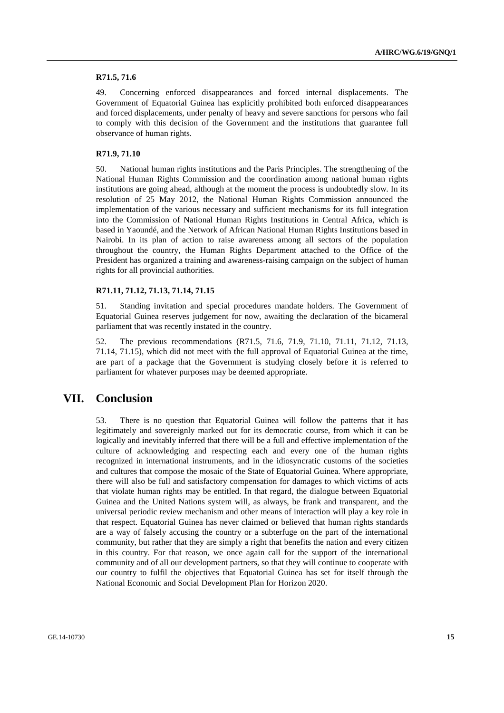### **R71.5, 71.6**

49. Concerning enforced disappearances and forced internal displacements. The Government of Equatorial Guinea has explicitly prohibited both enforced disappearances and forced displacements, under penalty of heavy and severe sanctions for persons who fail to comply with this decision of the Government and the institutions that guarantee full observance of human rights.

### **R71.9, 71.10**

50. National human rights institutions and the Paris Principles. The strengthening of the National Human Rights Commission and the coordination among national human rights institutions are going ahead, although at the moment the process is undoubtedly slow. In its resolution of 25 May 2012, the National Human Rights Commission announced the implementation of the various necessary and sufficient mechanisms for its full integration into the Commission of National Human Rights Institutions in Central Africa, which is based in Yaoundé, and the Network of African National Human Rights Institutions based in Nairobi. In its plan of action to raise awareness among all sectors of the population throughout the country, the Human Rights Department attached to the Office of the President has organized a training and awareness-raising campaign on the subject of human rights for all provincial authorities.

### **R71.11, 71.12, 71.13, 71.14, 71.15**

51. Standing invitation and special procedures mandate holders. The Government of Equatorial Guinea reserves judgement for now, awaiting the declaration of the bicameral parliament that was recently instated in the country.

52. The previous recommendations (R71.5, 71.6, 71.9, 71.10, 71.11, 71.12, 71.13, 71.14, 71.15), which did not meet with the full approval of Equatorial Guinea at the time, are part of a package that the Government is studying closely before it is referred to parliament for whatever purposes may be deemed appropriate.

# **VII. Conclusion**

53. There is no question that Equatorial Guinea will follow the patterns that it has legitimately and sovereignly marked out for its democratic course, from which it can be logically and inevitably inferred that there will be a full and effective implementation of the culture of acknowledging and respecting each and every one of the human rights recognized in international instruments, and in the idiosyncratic customs of the societies and cultures that compose the mosaic of the State of Equatorial Guinea. Where appropriate, there will also be full and satisfactory compensation for damages to which victims of acts that violate human rights may be entitled. In that regard, the dialogue between Equatorial Guinea and the United Nations system will, as always, be frank and transparent, and the universal periodic review mechanism and other means of interaction will play a key role in that respect. Equatorial Guinea has never claimed or believed that human rights standards are a way of falsely accusing the country or a subterfuge on the part of the international community, but rather that they are simply a right that benefits the nation and every citizen in this country. For that reason, we once again call for the support of the international community and of all our development partners, so that they will continue to cooperate with our country to fulfil the objectives that Equatorial Guinea has set for itself through the National Economic and Social Development Plan for Horizon 2020.